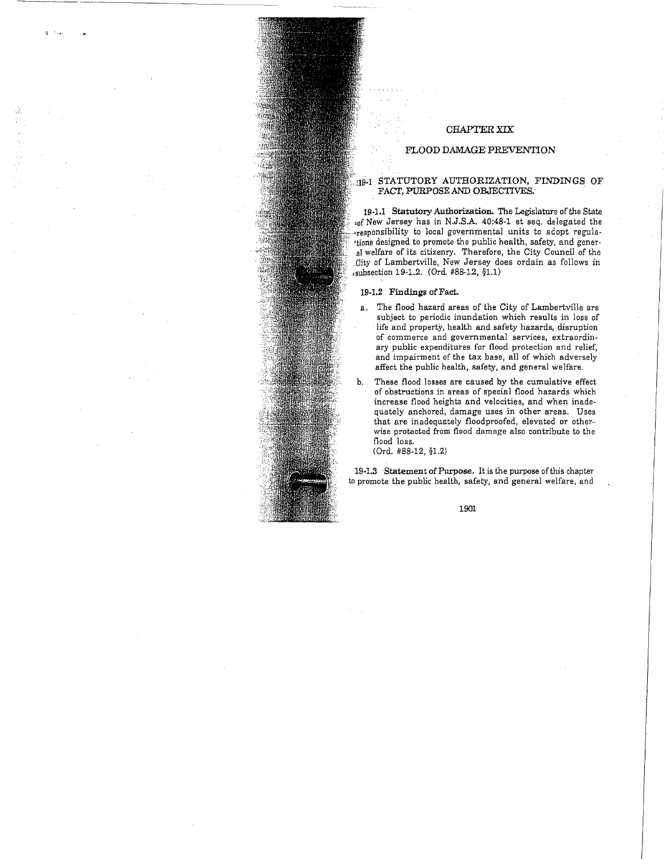# CHAPTER XIX

## FLOOD DAMAGE PREVENTION

## 19-1 STATUTORY AUTHORIZATION, FINDINGS OF FACT, PURPOSE AND *OBJECTIVES:* .

19-Ll Statutory Authorization. The Legislature of the State sof New Jersey has in N.J.S.A. 40:48-1 et seq. delegated the \*responsibility to local governmental units to adopt regula-. itions designed to promote the public health, safety, and general welfare of its citizenry. Therefore, the City Council of the .City of Lambertville, New Jersey does ordain as follows in ,.subsection 19-1.2. (Ord. #88-12, §1.1)

## 19-1.2 Findings of Fact.

- a. The flood hazard areas of the City of Lambertville are subject to periodic inundation which results in loss of life and property, health and safety hazards, disruption of commerce and governmental services, extraordinary public expenditures for flood protection and relief, and impairment of the tax base, all of which adversely affect the public health, safety, and general welfare.
- b. These flood losses are caused by the cumulative effect of obstructions in areas of special flood hazards which increase flood heights and velocities, and when inadequately anchored, damage uses in other areas. Uses that are inadequately floodproofed, elevated or otherwise protected from flood damage also contribute to the flood loss.

(Ord. #88-12, §1.2)

19-1.3 Statement of Purpose. It is the purpose of this chapter to promote the public health, safety, and general welfare, and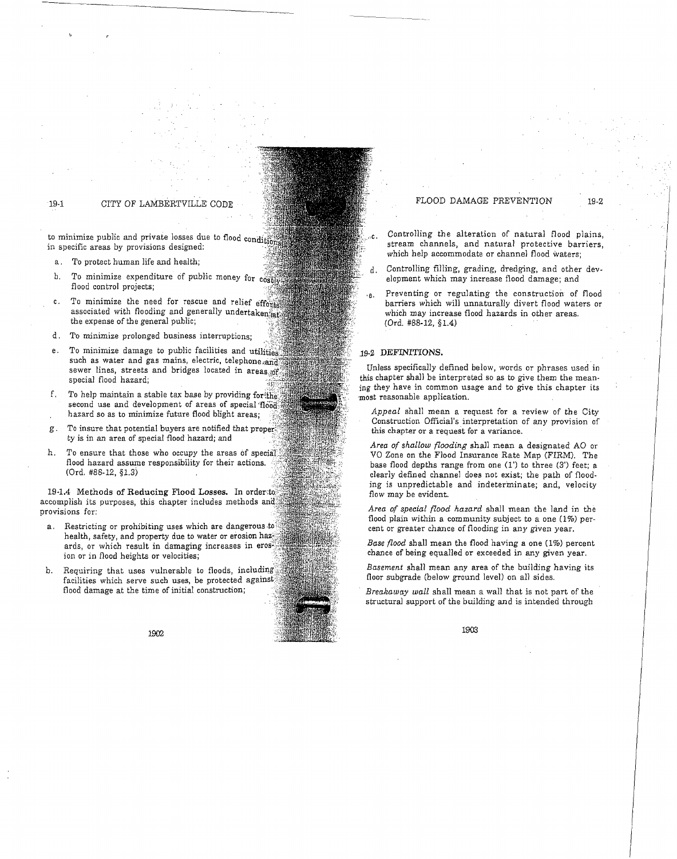## 19-1 CITY OF LAMBERTVILLE CODE

to minimize public and private losses due to flood condition in specific areas by provisions designed:

- a. To protect human life and health;
- b. To minimize expenditure of public money for cost flood control projects;
- C. To minimize the need for rescue and relief efforts associated with flooding and generally undertaken, at the expense of the general public; \
- d. To minimize prolonged business interruptions:
- e. To minimize damage to public facilities and utilities such as water and gas mains, electric, telephone, and sewer lines, streets and bridges located in areas, of special flood hazard;
- f. To help maintain a stable tax base by providing for the second use and development of areas of special flood hazard so as to minimize future flood blight areas;
- g. To insure that potential buyers are notified that proper  $ty$  is in an area of special flood hazard; and
- h. *To* ensure that those who occupy the areas of special' flood hazard assume responsibility for their actions. (Ord. #88-12, §1.3)

19-1.4 Methods of Reducing Flood Losses. In order to accomplish its purposes, this chapter includes methods and. provisions for:

- a. Restricting or prohibiting uses which are dangerous to health, safety, and property due to water or erosion haz; ards, or which result in damaging increases in erosion or in flood heights or velocities;
- b. Requiring that uses vulnerable to floods, including facilities which serve such uses, be protected against flood damage at the time of initial construction;

1902

# FLOOD DAMAGE PREVENTION 19-2

- Controlling the alteration of natural flood plains, stream channels, and natural protective barriers, which help accommodate or channel flood waters;
- d. Controlling filling, grading, dredging, and other development which may increase flood damage; and
- ,e. Preventing or regulating the construction of flood barriers which will unnaturally divert flood waters or which may increase flood hazards in other areas. (Ord. #88-12, §1.4)

### 19-2 DEFINITIONS.

Unless specifically defined below, words or phrases used in this chapter shall be interpreted so as to give them the meaning they have in common usage and to give this chapter its ·most reasonable application.

*Appeal* shall mean a request for a review of the City Construction Official's interpretation of any provision of this chapter or a request for a variance.

*Area of shallow flooding* shall mean a designated AO or VO Zone on the Flood Insurance Rate Map (FIRM). The base flood depths range from one (1') to three (3') feet; a clearly defined channel does not exist; the path of flooding is unpredictable and indeterminate; and, velocity flow may be evident.

*Area of special flood hazard* shall mean the land in the flood plain within a community subject to a one  $(1\%)$  percent or greater chance of flooding in any given year.

*Base flood* shall mean the flood having a one (1%) percent chance of being equalled or exceeded in any given year.

*Basement* shall mean any area of the building having its floor subgrade (below ground level) on all sides.

*Breakaway wall* shall mean a wall that is not part of the structural support of the building and is intended through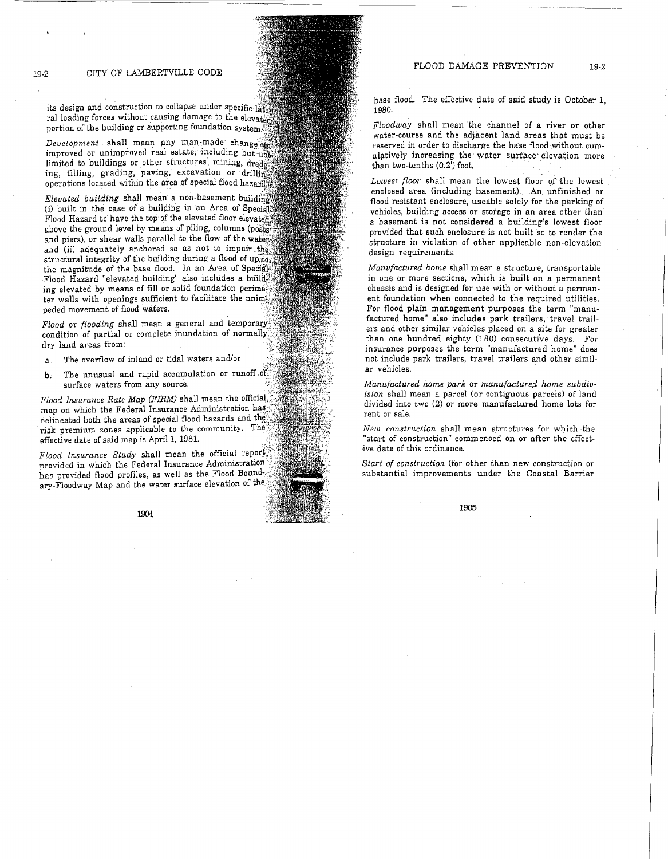its design and construction to collapse under specific. ral loading forces without causing damage to the elevated portion of the building or supporting foundation system)

. .

Development shall mean any man-made change that  $invoved$  or unimproved real estate, including but  $n_0$ limited to buildings or other structures, mining, dredge ing, filling, grading, paving, excavation or drilling operations located within the area of special flood hazarffill

*Elevated building* shall mean a non-basement building (i) built in the case of a building in an Area of Special Flood Hazard to have the top of the elevated floor elevated. above the ground level by means of piling, columns (posts) and piers), or shear walls parallel to the flow of the water. and (ii) adequately anchored so as not to impair, the structural integrity of the building during a flood of up to the magnitude of the base flood. In an Area of Special Flood Hazard "elevated building" also includes a build ing elevated by means of fill or solid foundation perime? ter walls with openings sufficient to facilitate the unimpeded movement of flood waters.

*Flood* or *flooding* shall mean a general and temporary. condition of partial or complete inundation of normally dry land areas from:

- a. The overflow of inland or tidal waters and/or
- b. The unusual and rapid accumulation or runoff of surface waters from any source.

*Flood Insurance Rate Map (FIRM)* shall mean the official} map on which the Federal Insurance Administration has delineated both the areas of special flood hazards and the risk premium zones applicable to the community. The effective date of said map is April 1, 1981. *{* 

*Flood Insurance Study* shall mean the official report provided in which the Federal Insurance Administration *:;.*  has provided flood profiles, as well as the Flood Boundary-Floodway Map and the water surface elevation of the

1904

base flood. The effective date of said study is October 1, 1980.

*Floodway* shall mean 'the channel of a river or other water-course and the adjacent land areas that must be reserved in order to discharge the base flood without cumulatively increasing the water surface elevation more than two-tenths (0.2') foot.

*Lowest floor* shall mean the lowest floor of the lowest enclosed area (including basement). An. unfinished or flood resistant enclosure, useable solely for the parking of vehicles, building access or storage in an area other than a basement is not considered a building's lowest floor provided that such enclosure is not built so to render the structure in violation of other applicable non-elevation design requirements.

*Manufactured home* shall mean a structure, transportable in one or more sections, which is built on a permanent chassis and is designed for use with or without a permanent foundation when connected to the required utilities. For flood plain management purposes the term "manufactured home" also includes park trailers, travel trailers and other similar vehicles placed on a site for greater than one hundred eighty (180) consecutive days. For insurance purposes the term "manufactured home" does not include park trailers, travel trailers and other similar vehicles.

Manufactured home park or manufactured home subdiv*ision* shall mean a parcel (or contiguous parcels) of land divided into two (2) or more manufactured home lots for rent or sale.

 $New$  construction shall mean structures for which the "start of construction" commenced on or after the effective date of this ordinance.

*Start of construction* (for other than new construction or substantial improvements under the Coastal Barrier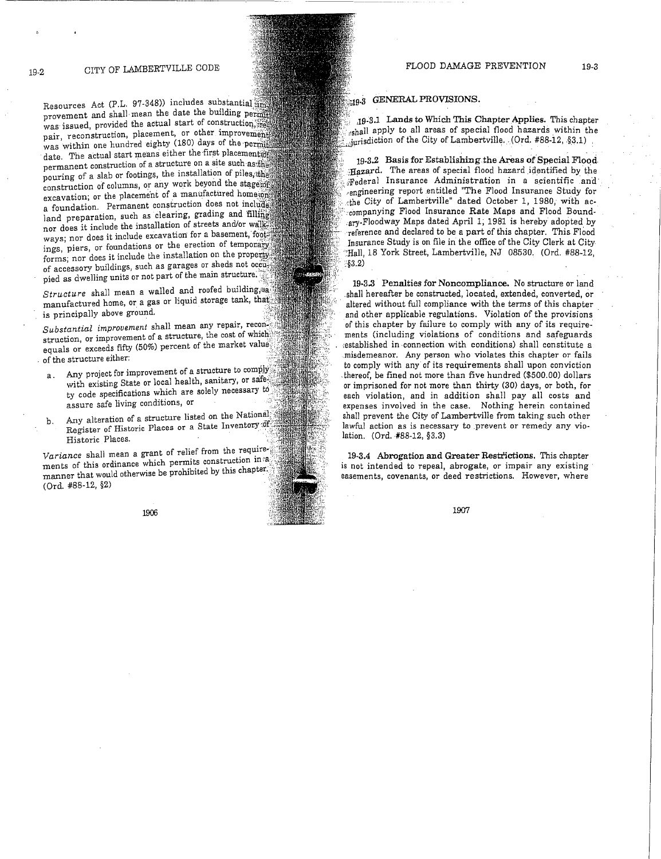Resources Act (P.L. 97-348)) includes substantial provement and shall mean the date the building permit was issued, provided the actual start of construction, the pair, reconstruction, placement, or other improvement was within one hundred eighty (180) days of the permit date. The actual start means either the first placement of permanent construction of a structure on a site such as, the pouring of a slab or footings, the installation of piles, the construction of columns, or any work beyond the stages of excavation; or the placement of a manufactured homeson a foundation. Permanent construction does not includes land preparation, such as clearing, grading and filling nor does it include the installation of streets and/or walkways; nor does it include excavation for a basement, foot ings, piers, or foundations or the erection of temporary forms; nor does it include the installation on the property. of accessory buildings, such as garages or sheds not occupied as dwelling units or not part of the main structure.

Structure shall mean a walled and roofed building, a manufactured home, or a gas or liquid storage tank, tha' is principally above ground.

Substantial improvement shall mean any repair, reconstruction, or improvement of a structure, the cost of which equals or exceeds fifty (50%) percent of the market value; of the structure either:

- Any project for improvement of a structure to comply. with existing State or local health, sanitary, or safe. ty code specifications which are solely necessary to assure safe living conditions, or
- b. Any alteration of a structure listed on the National Register of Historic Places or a State Inventory of Historic Places.

*Variance* shall mean a grant of relief from the require-; ments of this ordinance which permits construction in a manner that would otherwise be prohibited by this chapter. (Ord. #88-12, §2)

1906

# 19.3 GENERAL PROVISIONS.

*:(* ,19-3.1 Lands to Which This Chapter Applies. This chapter  $_{\text{cshall}}$  apply to all areas of special flood hazards within the  $_{\text{inrisdiction}}$  of the City of Lambertville. (Ord. #88-12, §3.1)

19-3.2 Basis for Establishing the Areas of Special Flood-Hazard. The areas of special flood hazard identified by the  $\mathbb{F}_{\text{e} \text{deral}}$  Insurance Administration in a scientific and  $\mu_{\text{engine}}$  report entitled "The Flood Insurance Study for the City of Lambertville" dated October 1, 1980, with ac-'. :companying Flood Insurance Rate Maps and Flood Bound- .ary-Floodway Maps dated April 1; 1981 is hereby adopted by ·reference and declared to be a part of this chapter. This Flood Insurance Study is on file in the office of the City Clerk at City .:Hall, 18 York Street, Lambertville, NJ 08530. (Ord. #88-12, :§3.2)

19-3.3 Penalties for Noncompliance, No structure or land .shall hereafter be constructed, located, extended, converted, or altered without full compliance with the terms of this chapter and other applicable regulations. Violation of the provisions of this chapter by failure to comply with any of its requirements (including violations of conditions and safeguards ;established in -connection with conditions) shall constitute a .misdemeanor. Any person who violates this chapter or fails to comply with any of its requirements shall upon conviction -thereof, be fined not more than five hundred (\$500.00) dollars or imprisoned for not more than thirty (30) days, or both, for each violation, and in addition shall pay all costs and expenses involved in the case. Nothing herein contained shall prevent the City of Lambertville from taking such other lawful action as is necessary to prevent or remedy any violation. (Ord. #88-12, §3.3)

19-3.4 Abrogation and Greater Restrictions, This chapter is not intended to repeal, abrogate, or impair any existing easements, covenants, or deed restrictions. However, where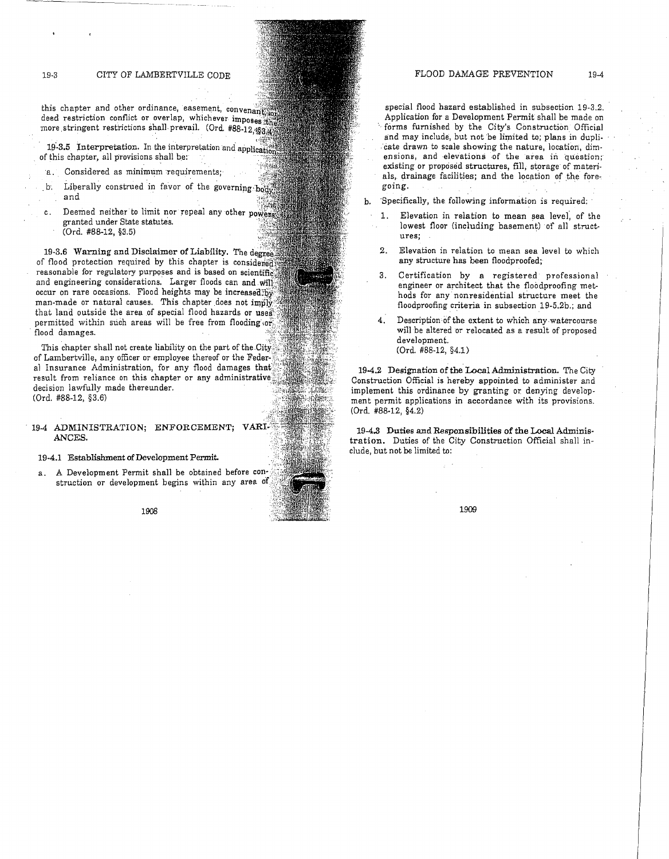# 19-3 CITY OF LAMBERTVILLE CODE

this chapter and other ordinance, easement, convenant. deed restriction conflict or overlap, whichever imposes the more stringent restrictions shall prevail. (Ord. #88-12, \$30.00) ,.

19-3.5 Interpretation. In the interpretation and applica of this chapter, all provisions shall be:

- Considered as minimum requirements;
- $\mathbf{b}$ . Liberally construed in favor of the governing  $\frac{1}{1000}$ and
- C. Deemed neither to limit nor repeal any other powers granted under State statutes. (Ord. #88-12, §3.5)

19-3.6 Warning and Disclaimer of Liability. The degree of flood protection required by this chapter is considered reasonable for regulatory purposes and is based on scientific. and engineering considerations. Larger floods can and will occur on rare occasions. Flood heights may be increased  $b\bar{y}$ man-made or natural causes. This chapter does not imply that land outside the area of special flood hazards or uses permitted within such areas will be free from flooding or flood damages.

This chapter shall not create liability on the part of the City of Lambertville, any officer or employee thereof or the Feder- $\ddot{\cdot}$ al Insurance Administration, for any flood damages that\\ result from reliance on this chapter or any administrative decision lawfully made thereunder. (Ord. #88-12, §3.6)

## 19-4 ADMINISTRATION; ENFORCEMENT; ANCES.

19-4.1 Establishment of Development Permit.

a. A Development Permit shall be obtained before struction or development begins within any area of

1908

special flood hazard established in subsection 19-3.2. Application for a Development Permit shall be made on forms furnished by the City's Construction Official and may include, but not be limited to; plans in dupli- .'cate drawn to scale showing the nature, location, dimensions, and elevations of the area in question; existing or proposed strnctures, fill, storage of materials, drainage facilities; and the location of the foregoing.

b. 'Specifically, the following information is required:

- 1. Elevation in relation to mean sea level; of the lowest floor (including basement) of all structures;
- 2. Elevation in relation to mean sea level to which any structure has been floodproofed;
- 3. Certification by a registered professional engineer or architect that the floodproofing methods for any nonresidential structure meet the floodproofing criteria in subsection 19-5.2b.; and
- Description of the extent to which any watercourse will be altered or relocated as a result of proposed development. (Ord. #88-12, §4.1)

19-4.2 Designation of the Local Administration. The City Construction Official is hereby appointed to administer and implement this ordinance by granting or denying development permit applications in accordance with its provisions. (Ord. #88-12, §4.2)

19-4.8 Duties and Responsibilities of the Local Administration. Duties of the City Construction Official shall include, but not be limited to: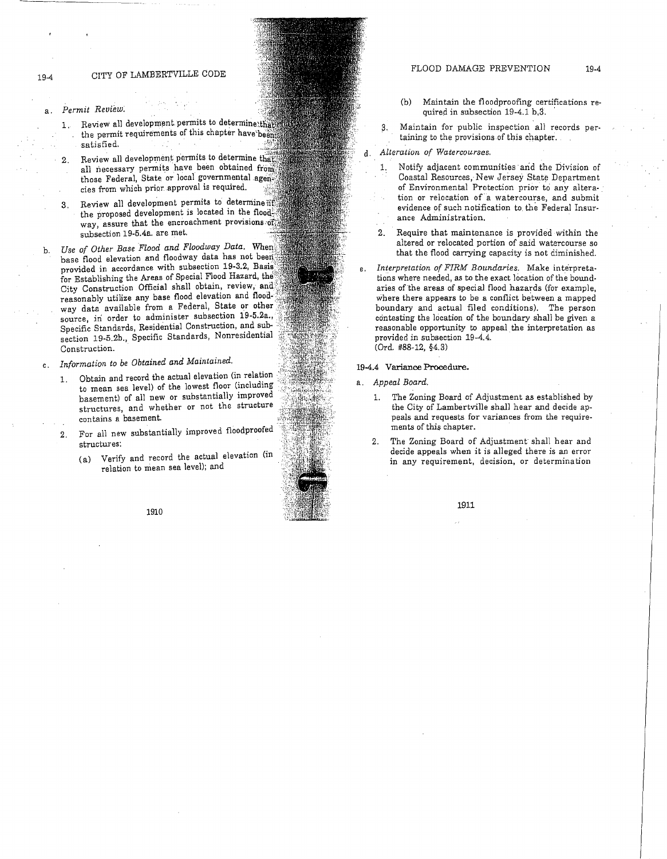- *Permit Review:*
- 1. Review all development permits to determine:that the permit requirements of this chapter have been satisfied.

2. Review all development permits to determine that all necessary permits have been obtained from those Federal, State or local governmental agencies from which prior approval is required.

- 3. Review all development permits to determine  $i\hat{f}$ the proposed development is located in the flood. way, assure that the encroachment provisions of subsection 19-5.4a. are met.
- b. *Use of Other Base Flood and Floodway Data.* When base flood elevation and floodway data has not beeri provided in accordance with subsection 19-3.2, Basis for Establishing the Areas of Special Flood Hazard, the City Construction Official shall obtain, review, and reasonably utilize any base flood elevation and floodway data available from a Federal, State or other source, in order to administer subsection 19-5.2a., Specific Standards, Residential Construction, and subsection 19-5.2b., Specific Standards, Nonresidential Construction.
- C. *Information to be Obtained and Maintained.* 
	- 1. Obtain and record the actual elevation (in relation to mean sea level) of the lowest floor (including basement) of all new or substantially improved structures, and whether or not the structure contains a basement.
	- 2. For all new substantially improved floodproofed structures:
		- (a) Verify and record the actual elevation (in relation to mean sea level); and
- (b) Maintain the floodproofing certifications required in subsection 19-4.1 b,3.
- 3. Maintain for public inspection all records pertaining to the provisions of this chapter.
- d. *Alteration of Watercourses.* 
	- 1. Notify adjacent communities· and the Division of Coastal Resources, New Jersey State Department of Environmental Protection prior to any alteration or relocation of a watercourse, and submit evidence of such notification to. the Federal Insurance Administration.

2. Require that maintenance is provided within the altered or relocated portion of said watercourse so that the flood carrying capacity is not diminished.

Interpretation of FIRM Boundaries. Make interpretations where needed, as to the exact location of the bonndaries of the areas of special flood hazards (for example, where there appears to be a conflict between a mapped boundary and actual filed conditions). The person contesting the location of the boundary shall be given a reasonable opportunity to appeal the interpretation as provided in subsection 19-4.4. (Ord. #88-12, §4.3)

#### 19-4.4 **Variance Procedure.**

- a. *Appeal Board.* 
	- 1. The Zoning Board of Adjustment as established by the City of Lambertville shall hear and decide appeals and requests for variances from the requirements of this chapter.
	- 2. The Zoning Board of Adjustment shall hear and decide appeals when it is alleged there is an error in any requirement, decision, or determination

1911

a.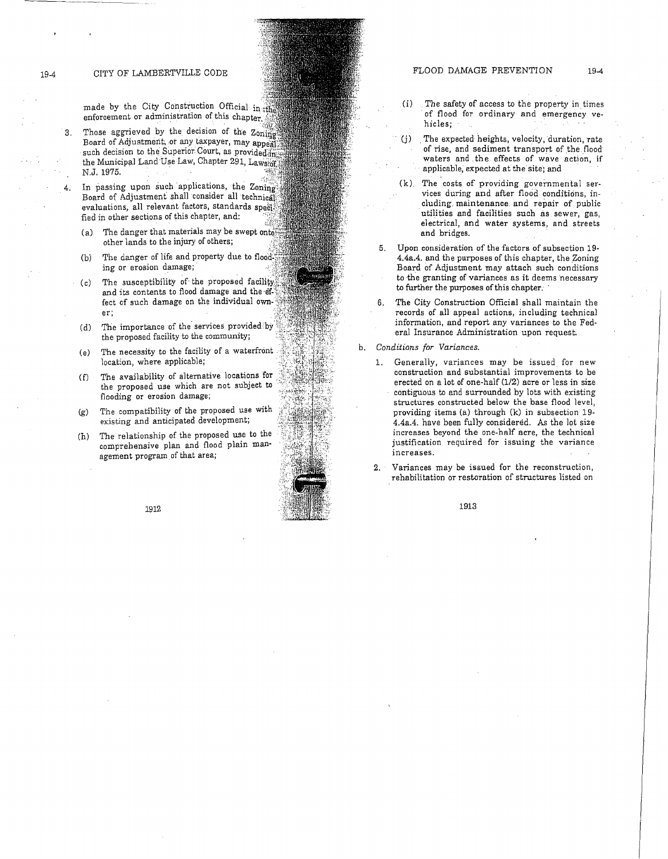19-4 CITY OF LAMBERTVILLE CODE

made by the City Construction Official in enforcement or administration of this chapter.

- 3. Those aggrieved by the decision of the  $Z_{0\text{ning}}$ Board of Adjustment, or any taxpayer, may appeal such decision to the Superior Court, as provided-inthe Municipal Land Use Law, Chapter 291, Laws of N.J. 1975.
	- In passing upon such applications, the Zoning Board of Adjustment shall consider all technical evaluations, all relevant factors, standards  $\frac{1}{2}$ fied in other sections of this chapter, and:
		- (a) The danger that materials may be swept onto other lands to the injury of others;
		- (b) The danger of life and property due to flood ing or erosion damage;
	- (c) The susceptibility of the proposed facility and its contents to flood damage and the feet of such damage on the individual owner;
	- (d) The importance of the services provided by the proposed facility to the community;
	- (e) The necessity to the facility of a waterfront location, where applicable;
	- (f) The availability of alternative locations for the proposed use which are not subject to flooding or erosion damage;
	- (g) The compatibility of the proposed use with existing and anticipated development;
	- (h) The relationship of the proposed use to the comprehensive plan and flood plain man· agement program of that area;



- (i) The safety of access to the property in times of flood for ordinary and emergency vehicles;
- (j) . The expected heights, velocity, duration, rate of rise, and sediment transport of the flood waters and the effects of wave action, if applicable; expected at the site; and
- (k) The costs of providing governmental services during and after flood conditions, including maintenance. and repair of public utilities and facilities such as sewer, gas, electrical, and water systems, and streets and bridges.
- 5. Upon consideration of the factors of subsection 19- 4.4a.4. and the purposes of this chapter, the Zoning Board of Adjustment may attach such conditions to the granting of variances as it deems necessary to further the purposes of this chapter.
- 6. The City Construction Official shall maintain the records of all appeal actions, including technical information, and report any variances to the Federal Insurance Administration upon request.
- b. *Conditions for Variances.* 
	- Generally, variances may be issued for new construction and substantial improvements to be erected on a lot of one-half (1/2) acre or less in size contiguous to and surrounded by lots with existing structures constructed below the base flood level, providing items (a) through (k) in subsection 19- 4.4a.4. have been fully considered. *As* the lot size increases beyond the one-half acre, the technical justification required for issuing the variance increases.
	- 2. Variances may be issued for the reconstruction, rehabilitation or restoration of structures listed on

1913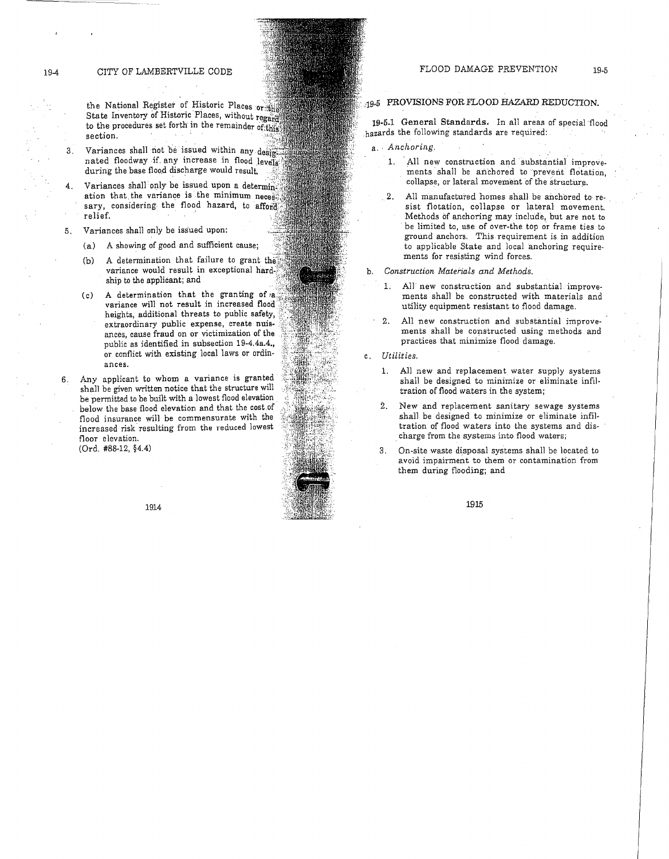the National Register of Historic Places  $or$ State Inventory of Historic Places, without regard to the procedures set forth in the remainder of;this section.

3. Variances shall not be issued within any design nated floodway if any increase in flood levels. during the base flood discharge would result.

Variances shall only be issued upon a determination that the variance is the minimum necessi sary, considering the flood hazard, to afford relief.

- 5. Variances shall only be issued upon:
	- (a) A showing of good and sufficient cause;
	- (b) A determination that failure to grant the variance would result in exceptional ship to the applicant; and
	- (c) A determination that the granting of variance will not result in increased heights, additional threats to public safety, extraordinary public expense, create nuisances, cause fraud on or victimization of the public as identified in subsection 19-4.4a.4., or conflict with existing local laws or ordinances.
- 6. Any applicant to whom a variance is granted shall be given written notice that the structure will be permitted to be built with a lowest flood elevation below the base flood elevation and that the cost of flood insurance will be commensurate with the increased risk resulting from the reduced lowest floor elevation.

1914

(Ord. #88-12, §4.4)

# .·· .19.5 PROVISIONS FOR FLOOD HAZARD REDUCTION.

19-5.1 General Standards. In all areas of special flood hazards the following standards are required:

- a. Anchoring.
	- 1. All new construction and substantial improvements shall be anchored to 'prevent flotation, collapse, or lateral movement of the structure.
	- 2. All manufactured homes shall be anchored to resist flotation, collapse or lateral movement. Methods of anchoring may include, but are not to be limited to, use of over-the top or frame ties to ground anchors. This requirement is in addition to applicable State and local anchoring requirements for resisting wind forces.
- b. *Construction Materials and Methods.* 
	- 1. All new construction and substantial improvements shall be constructed with materials and utility equipment resistant to flood damage.
	- 2. All new construction and substantial improvements shall be constructed using methods and practices that minimize flood damage.
- c. *Utilities.* 
	- 1. All new and replacement water supply systems shall be designed to minimize or eliminate infiltration of flood waters in the system;
	- 2. New and replacement sanitary sewage systems shall be designed to minimize or eliminate infiltration of flood waters into the systems and discharge from the systems into flood waters;
	- 3. On-site waste disposal systems shall be located to avoid impairment to them or contamination from them during flooding; and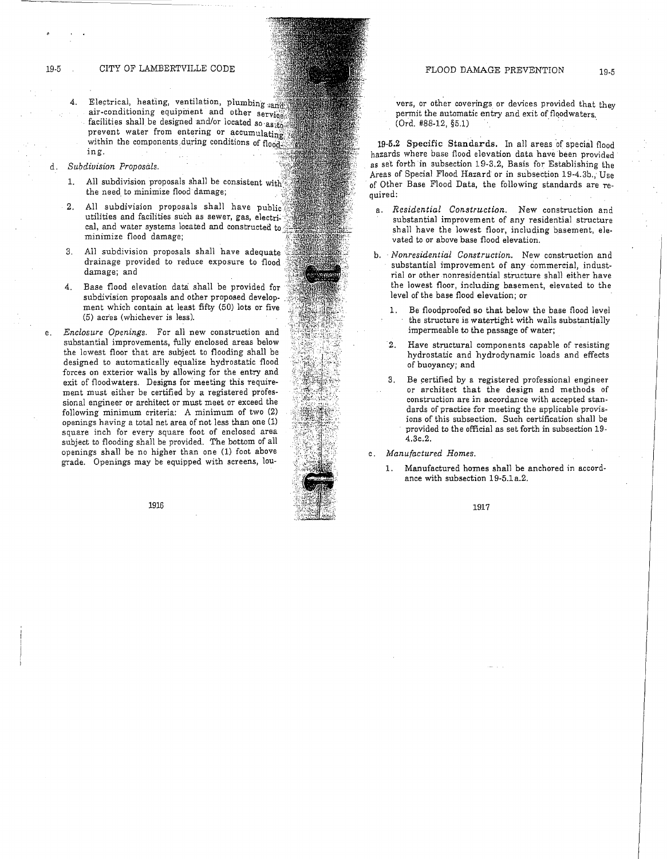- 4. Electrical, heating, ventilation, plumbing and air-conditioning equipment and other service facilities shall be designed and/or located so as to prevent water from entering or accumulating within the components during conditions of flood. ing.
- d. *Subdivision Proposals.* 
	- 1. All subdivision proposals shall be consistent with the need to minimize flood damage;
	- 2. All subdivision proposals shall have public utilities and facilities such as sewer, gas, electrical, and water systems located and constructed minimize flood damage;
	- 3. All subdivision proposals shall have adequate drainage provided to reduce exposure to flood damage; and
	- 4. Base flood elevation data shall be provided for subdivision proposals and other proposed development which contain at least fifty (50) lots or five (5) acr'es (whichever is less).
- e. *Enclosure Openings.* For all new construction and substantial improvements, fully enclosed areas below the lowest floor that are subject to flooding shall be designed to automatically equalize hydrostatic flood forces on exterior walls by allowing for the entry and exit of floodwaters. Designs for meeting this requirement must either be certified by a registered professional engineer or architect or must meet or exceed the following minimum criteria: A minimum of two (2) openings having a total net area of not less than one (1) square inch for every square foot of enclosed area subject to flooding shall be provided. The bottom of all openings shall be no higher than one (1) foot above grade. Openings may be equipped with screens, lou-

1916

vers, or other coverings or devices provided that they permit the automatic entry and exit of floodwaters.  $(Ord. #88-12, §5.1)$ 

19-5.2 Specific Standards. In all areas of special flood hazards where base flood elevation data have been provided as set forth in subsection 19-3.2, Basis for Establishing the Areas of Special Flood Hazard or in subsection 19-4.Sb., Use of Other Base Flood Data, the following standards are required:

- a. *Residential Construction.* New construction and substantial improvement of any residential structure shall have the lowest floor, including basement, elevated to or above base flood elevation.
- b. *Nonresidential Construction.* New construction and substantial improvement of any commercial, industrial or other nonresidential structure shall either have the lowest floor, including basement, elevated to the level of the base flood elevation; or
	- 1. Be floodproofed so that below the base flood level the structure is watertight with walls substantially impermeable to the passage of water;
	- 2. Have structural components capable of resisting hydrostatic and hydrodynamic loads and effects of buoyancy; and
	- 3. Be certified by a registered professional engineer or architect that the design and methods of construction are in accordance with accepted standards of practice for meeting the applicable provisions of this subsection. Such certification shall be provided to the official as set forth in subsection 19- 4.Sc.2.

c. *Manufactured Homes.* 

1. Manufactured homes sha11 be anchored in accordance with subsection 19-5.1 a.2.